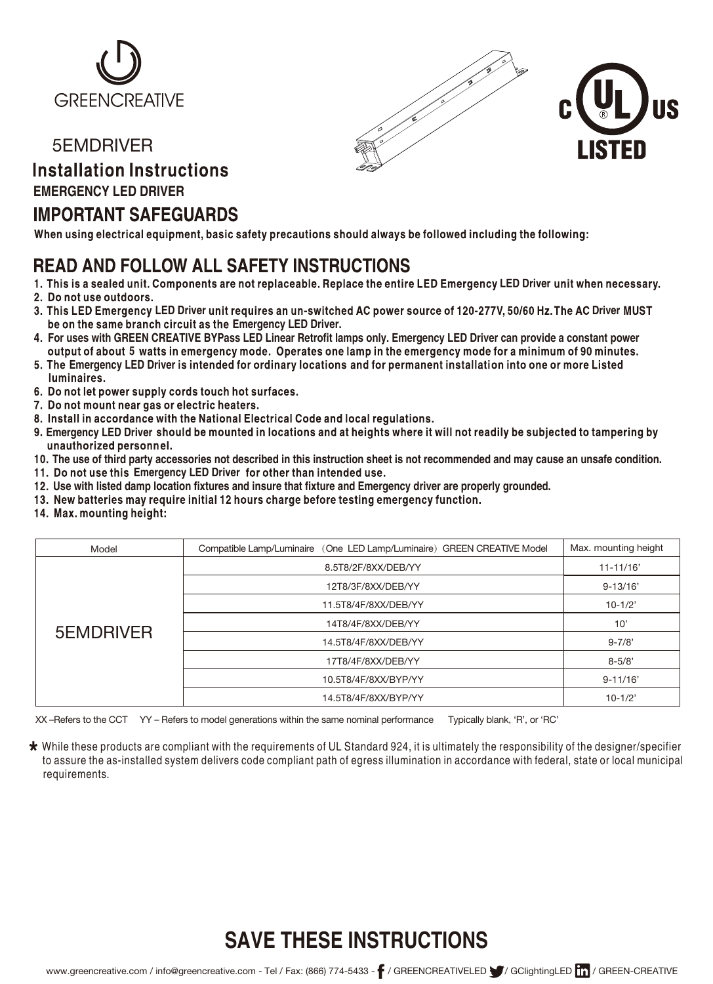

#### 5EMDRIVER

## **Installation Instructions**

#### **EMERGENCY LED DRIVER**

### **IMPORTANT SAFEGUARDS**

When using electrical equipment, basic safety precautions should always be followed including the following:

## **READ AND FOLLOW ALL SAFETY INSTRUCTIONS**

- 1. This is a sealed unit. Components are not replaceable. Replace the entire LED Emergency LED Driver unit when necessary.
- 2. Do not use outdoors.
- be on the same branch circuit as the Emergency LED Driver. **LED Driver Driver**
- output of about 5 watts in emergency mode. Operates one lamp in the emergency mode for a minimum of 90 minutes. **For uses with GREEN CREATIVE BYPass LED Linear Retrofit lamps only. Emergency LED Driver can provide a constant power**
- 5. The Emergency LED Driver is intended for ordinary locations and for permanent installation into one or more Listed<br>luminaires.
- 6. Do not let power supply cords touch hot surfaces.
- 7. Do not mount near gas or electric heaters.
- 8. Install in accordance with the National Electrical Code and local regulations.
- 9. Emergency LED Driver should be mounted in locations and at heights where it will not readily be subjected to tampering by unauthorized personnel.
- **The use of third party accessories not described in this instruction sheet is not recommended and may cause an unsafe condition.**
- 11. Do not use this Emergency LED Driver for other than intended use.
- **Use with listed damp location fixtures and insure that fixture and Emergency driver are properly grounded.**
- 
- 14. Max. mounting height:

| Model     | Compatible Lamp/Luminaire (One LED Lamp/Luminaire) GREEN CREATIVE Model | Max. mounting height |
|-----------|-------------------------------------------------------------------------|----------------------|
| 5EMDRIVER | 8.5T8/2F/8XX/DEB/YY                                                     | $11 - 11/16'$        |
|           | 12T8/3F/8XX/DEB/YY                                                      | $9 - 13/16'$         |
|           | 11.5T8/4F/8XX/DEB/YY                                                    | $10-1/2'$            |
|           | 14T8/4F/8XX/DEB/YY                                                      | 10'                  |
|           | 14.5T8/4F/8XX/DEB/YY                                                    | $9 - 7/8'$           |
|           | 17T8/4F/8XX/DEB/YY                                                      | $8 - 5/8'$           |
|           | 10.5T8/4F/8XX/BYP/YY                                                    | $9 - 11/16'$         |
|           | 14.5T8/4F/8XX/BYP/YY                                                    | $10-1/2'$            |

XX –Refers to the CCT YY – Refers to model generations within the same nominal performance Typically blank, 'R', or 'RC'

\* While these products are compliant with the requirements of UL Standard 924, it is ultimately the responsibility of the designer/specifier to assure the as-installed system delivers code compliant path of egress illumination in accordance with federal, state or local municipal requirements.

# **SAVE THESE INSTRUCTIONS**